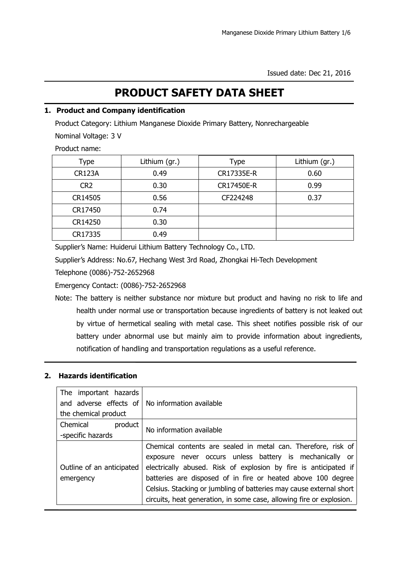# **PRODUCT SAFETY DATA SHEET**

## **1. Product and Company identification**

Product Category: Lithium Manganese Dioxide Primary Battery, Nonrechargeable

Nominal Voltage: 3 V

Product name:

| Type            | Lithium (gr.) | Lithium (gr.)<br>Type |      |
|-----------------|---------------|-----------------------|------|
| <b>CR123A</b>   | 0.49          | CR17335E-R            | 0.60 |
| CR <sub>2</sub> | 0.30          | CR17450E-R            | 0.99 |
| CR14505         | 0.56          | CF224248              | 0.37 |
| CR17450         | 0.74          |                       |      |
| CR14250         | 0.30          |                       |      |
| CR17335         | 0.49          |                       |      |

Supplier's Name: Huiderui Lithium Battery Technology Co., LTD.

Supplier's Address: No.67, Hechang West 3rd Road, Zhongkai Hi-Tech Development

Telephone (0086)-752-2652968

Emergency Contact: (0086)-752-2652968

Note: The battery is neither substance nor mixture but product and having no risk to life and health under normal use or transportation because ingredients of battery is not leaked out by virtue of hermetical sealing with metal case. This sheet notifies possible risk of our battery under abnormal use but mainly aim to provide information about ingredients, notification of handling and transportation regulations as a useful reference.

# **2. Hazards identification**

| The important hazards                                   |                                                                      |  |
|---------------------------------------------------------|----------------------------------------------------------------------|--|
| and adverse effects of $\vert$ No information available |                                                                      |  |
| the chemical product                                    |                                                                      |  |
| Chemical<br>product                                     | No information available                                             |  |
| -specific hazards                                       |                                                                      |  |
|                                                         | Chemical contents are sealed in metal can. Therefore, risk of        |  |
|                                                         | exposure never occurs unless battery is mechanically or              |  |
| Outline of an anticipated                               | electrically abused. Risk of explosion by fire is anticipated if     |  |
| emergency                                               | batteries are disposed of in fire or heated above 100 degree         |  |
|                                                         | Celsius. Stacking or jumbling of batteries may cause external short  |  |
|                                                         | circuits, heat generation, in some case, allowing fire or explosion. |  |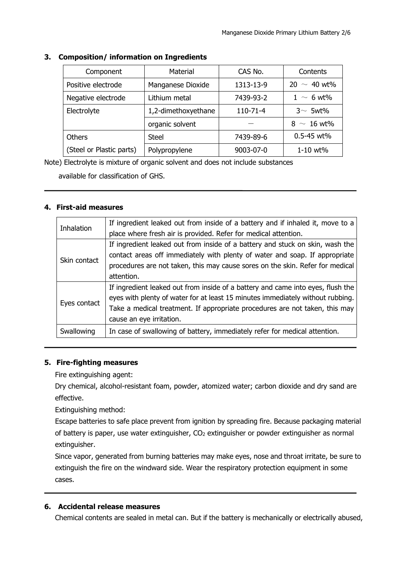| Component                | Material            | CAS No.    | Contents         |
|--------------------------|---------------------|------------|------------------|
| Positive electrode       | Manganese Dioxide   | 1313-13-9  | $20 \sim 40$ wt% |
| Negative electrode       | Lithium metal       | 7439-93-2  | $1 \sim 6$ wt%   |
| Electrolyte              | 1,2-dimethoxyethane | $110-71-4$ | $3~$ 5wt%        |
|                          | organic solvent     |            | $8 \sim 16$ wt%  |
| Others                   | <b>Steel</b>        | 7439-89-6  | $0.5 - 45$ wt%   |
| (Steel or Plastic parts) | Polypropylene       | 9003-07-0  | 1-10 wt%         |

#### **3. Composition/ information on Ingredients**

Note) Electrolyte is mixture of organic solvent and does not include substances

available for classification of GHS.

## **4. First-aid measures**

| Inhalation   | If ingredient leaked out from inside of a battery and if inhaled it, move to a  |  |
|--------------|---------------------------------------------------------------------------------|--|
|              | place where fresh air is provided. Refer for medical attention.                 |  |
|              | If ingredient leaked out from inside of a battery and stuck on skin, wash the   |  |
| Skin contact | contact areas off immediately with plenty of water and soap. If appropriate     |  |
|              | procedures are not taken, this may cause sores on the skin. Refer for medical   |  |
|              | attention.                                                                      |  |
| Eyes contact | If ingredient leaked out from inside of a battery and came into eyes, flush the |  |
|              | eyes with plenty of water for at least 15 minutes immediately without rubbing.  |  |
|              | Take a medical treatment. If appropriate procedures are not taken, this may     |  |
|              | cause an eye irritation.                                                        |  |
| Swallowing   | In case of swallowing of battery, immediately refer for medical attention.      |  |
|              |                                                                                 |  |

# **5. Fire-fighting measures**

Fire extinguishing agent:

Dry chemical, alcohol-resistant foam, powder, atomized water; carbon dioxide and dry sand are effective.

Extinguishing method:

Escape batteries to safe place prevent from ignition by spreading fire. Because packaging material of battery is paper, use water extinguisher,  $CO<sub>2</sub>$  extinguisher or powder extinguisher as normal extinguisher.

Since vapor, generated from burning batteries may make eyes, nose and throat irritate, be sure to extinguish the fire on the windward side. Wear the respiratory protection equipment in some cases.

# **6. Accidental release measures**

Chemical contents are sealed in metal can. But if the battery is mechanically or electrically abused,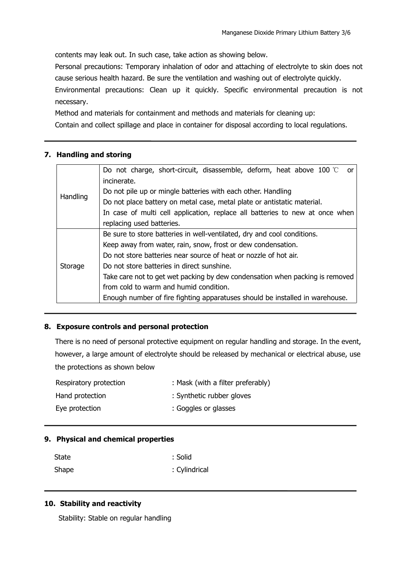contents may leak out. In such case, take action as showing below.

Personal precautions: Temporary inhalation of odor and attaching of electrolyte to skin does not cause serious health hazard. Be sure the ventilation and washing out of electrolyte quickly.

Environmental precautions: Clean up it quickly. Specific environmental precaution is not necessary.

Method and materials for containment and methods and materials for cleaning up:

Contain and collect spillage and place in container for disposal according to local regulations.

## **7. Handling and storing**

|          | Do not charge, short-circuit, disassemble, deform, heat above 100 $\degree$ or |  |  |  |
|----------|--------------------------------------------------------------------------------|--|--|--|
|          | incinerate.                                                                    |  |  |  |
|          | Do not pile up or mingle batteries with each other. Handling                   |  |  |  |
| Handling | Do not place battery on metal case, metal plate or antistatic material.        |  |  |  |
|          | In case of multi cell application, replace all batteries to new at once when   |  |  |  |
|          | replacing used batteries.                                                      |  |  |  |
|          | Be sure to store batteries in well-ventilated, dry and cool conditions.        |  |  |  |
|          | Keep away from water, rain, snow, frost or dew condensation.                   |  |  |  |
|          | Do not store batteries near source of heat or nozzle of hot air.               |  |  |  |
| Storage  | Do not store batteries in direct sunshine.                                     |  |  |  |
|          | Take care not to get wet packing by dew condensation when packing is removed   |  |  |  |
|          | from cold to warm and humid condition.                                         |  |  |  |
|          | Enough number of fire fighting apparatuses should be installed in warehouse.   |  |  |  |

### **8. Exposure controls and personal protection**

There is no need of personal protective equipment on regular handling and storage. In the event, however, a large amount of electrolyte should be released by mechanical or electrical abuse, use the protections as shown below

| Respiratory protection | : Mask (with a filter preferably) |
|------------------------|-----------------------------------|
| Hand protection        | : Synthetic rubber gloves         |
| Eye protection         | : Goggles or glasses              |

### **9. Physical and chemical properties**

| State | : Solid       |
|-------|---------------|
| Shape | : Cylindrical |

### **10. Stability and reactivity**

Stability: Stable on regular handling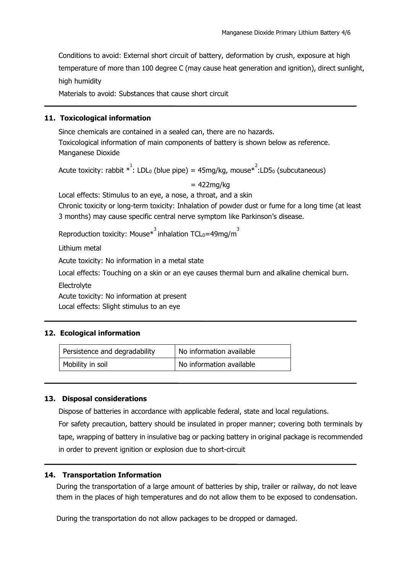Conditions to avoid: External short circuit of battery, deformation by crush, exposure at high temperature of more than 100 degree C (may cause heat generation and ignition), direct sunlight, high humidity

Materials to avoid: Substances that cause short circuit

#### **11. Toxicological information**

Since chemicals are contained in a sealed can, there are no hazards. Toxicological information of main components of battery is shown below as reference. Manganese Dioxide

Acute toxicity: rabbit  $*^1$ : LDL<sub>0</sub> (blue pipe) = 45mg/kg, mouse $*^2$ :LD5<sub>0</sub> (subcutaneous)

 $= 422$ mg/kg

Local effects: Stimulus to an eye, a nose, a throat, and a skin Chronic toxicity or long-term toxicity: Inhalation of powder dust or fume for a long time (at least 3 months) may cause specific central nerve symptom like Parkinson's disease.

Reproduction toxicity: Mouse $*^3$  inhalation TCL<sub>0</sub>=49mg/m<sup>3</sup> 3

Lithium metal

Acute toxicity: No information in a metal state

Local effects: Touching on a skin or an eye causes thermal burn and alkaline chemical burn.

**Electrolyte** 

Acute toxicity: No information at present

Local effects: Slight stimulus to an eye

### **12. Ecological information**

| Persistence and degradability | No information available |
|-------------------------------|--------------------------|
| Mobility in soil              | No information available |

#### **13. Disposal considerations**

Dispose of batteries in accordance with applicable federal, state and local regulations. For safety precaution, battery should be insulated in proper manner; covering both terminals by tape, wrapping of battery in insulative bag or packing battery in original package is recommended in order to prevent ignition or explosion due to short-circuit

### **14. Transportation Information**

During the transportation of a large amount of batteries by ship, trailer or railway, do not leave them in the places of high temperatures and do not allow them tobe exposed to condensation.

During the transportation do not allow packages to be dropped or damaged.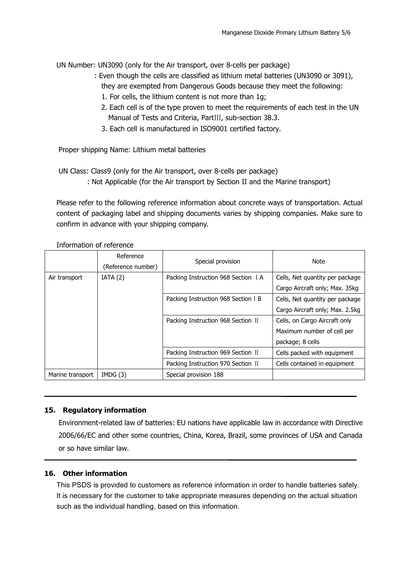UN Number: UN3090 (only for the Air transport, over 8-cells per package)

- : Even though the cells are classified as lithium metal batteries (UN3090 or 3091), they are exempted from Dangerous Goods because they meet the following:
	- 1. For cells, the lithium content is not more than 1g;
	- 2. Each cell is of the type proven to meet the requirements of each test in the UN Manual of Tests and Criteria, PartⅢ, sub-section 38.3.
	- 3. Each cell is manufactured in ISO9001 certified factory.

Proper shipping Name: Lithium metal batteries

UN Class: Class9 (only for the Air transport, over 8-cells per package)

: Not Applicable (for the Air transport by Section II and the Marine transport)

Please refer to the following reference information about concrete ways of transportation. Actual content of packaging label and shipping documents varies by shipping companies. Make sure to confirm in advance with your shipping company.

Information of reference

|                  | Reference<br>(Reference number) | Special provision                   | Note                            |
|------------------|---------------------------------|-------------------------------------|---------------------------------|
| Air transport    | IATA(2)                         | Packing Instruction 968 Section I A | Cells, Net quantity per package |
|                  |                                 |                                     | Cargo Aircraft only; Max. 35kg  |
|                  |                                 | Packing Instruction 968 Section I B | Cells, Net quantity per package |
|                  |                                 |                                     | Cargo Aircraft only; Max. 2.5kg |
|                  |                                 | Packing Instruction 968 Section II  | Cells, on Cargo Aircraft only   |
|                  |                                 |                                     | Maximum number of cell per      |
|                  |                                 |                                     | package; 8 cells                |
|                  |                                 | Packing Instruction 969 Section II  | Cells packed with equipment     |
|                  |                                 | Packing Instruction 970 Section II  | Cells contained in equipment    |
| Marine transport | IMDG(3)                         | Special provision 188               |                                 |

### **15. Regulatory information**

Environment-related law of batteries: EU nations have applicable law in accordance with Directive 2006/66/EC and other some countries, China, Korea, Brazil, some provinces of USA and Canada or so have similar law.

### **16. Other information**

This PSDS is provided to customers as reference information in order to handle batteries safely. It is necessary for the customer to take appropriate measures depending on the actual situation such as the individual handling, based on this information.